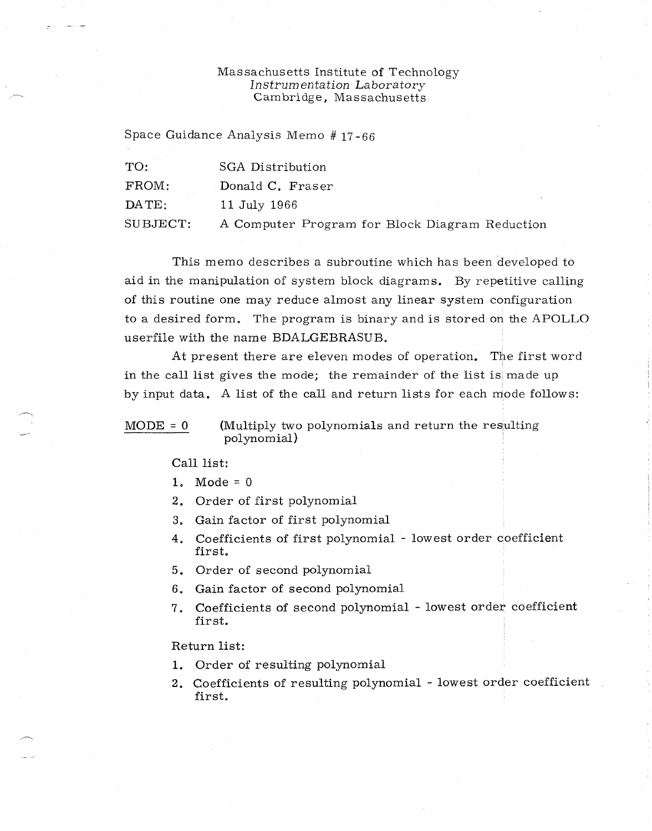## Massachusetts Institute of Technology *Instrum entation Laboratory*  Cambridge, Massachusetts

Space Guidance Analysis Memo # 17-66

| TO:      | SGA Distribution                               |
|----------|------------------------------------------------|
| FROM:    | Donald C. Fraser                               |
| DATE:    | 11 July 1966                                   |
| SUBJECT: | A Computer Program for Block Diagram Reduction |

This memo describes a subroutine which has been developed to aid in the manipulation of system block diagrams. By repetitive calling of this routine one may reduce almost any linear system configuration to a desired form. The program is binary and is stored on the APOLLO userfile with the name BDALGEBRASUB.

At present there are eleven modes of operation. The first word in the call list gives the mode; the remainder of the list is made up by input data. A list of the call and return lists for each mode follows:

 $MODE = 0$  (Multiply two polynomials and return the resulting polynomial)

Call list:

- 1. Mode =  $0$
- 2. Order of first polynomial
- 3. Gain factor of first polynomial
- 4. Coefficients of first polynomial lowest order coefficient first,
- 5. Order of second polynomial
- 6. Gain factor of second polynomial
- 7. Coefficients of second polynomial lowest order coefficient first.

Return list:

- 1, Order of resulting polynomial
- 2. Coefficients of resulting polynomial lowest order coefficient first.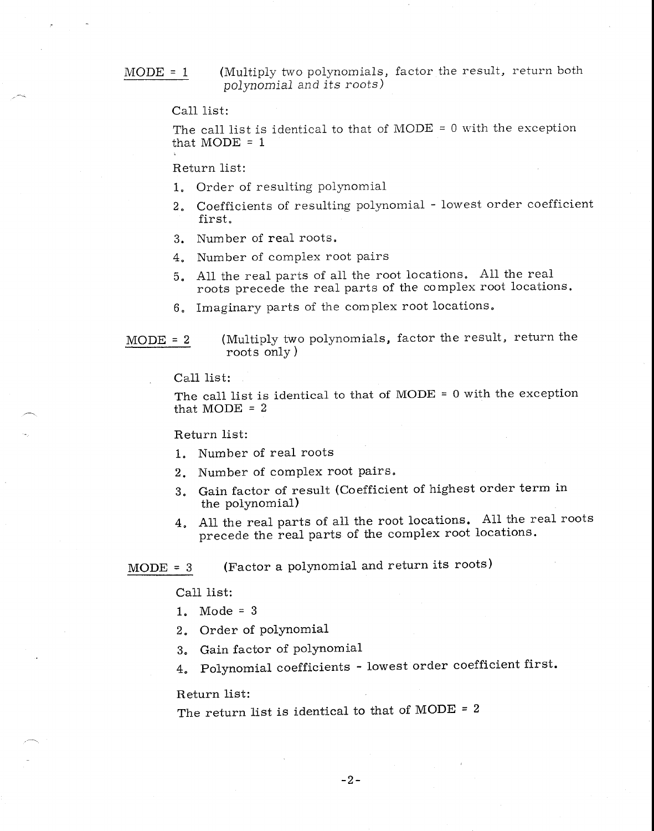MODE = 1 (Multiply two polynomials, factor the result, return both *polynomial and its roots)* 

Call list:

The call list is identical to that of MODE = 0 with the exception that  $MODE = 1$ 

Return list:

- 1. Order of resulting polynomial
- 2. Coefficients of resulting polynomial lowest order coefficient first.
- 3. Number of real roots.
- 4. Number of complex root pairs
- 5. All the real parts of all the root locations. All the real roots precede the real parts of the complex root locations.
- 6. Imaginary parts of the complex root locations,

MODE = 2 (Multiply two polynomials, factor the result, return the roots only )

Call list:

The call list is identical to that of MODE = 0 with the exception that  $MODE = 2$ 

Return list:

- 1. Number of real roots
- 2. Number of complex root pairs.
- 3. Gain factor of result (Coefficient of highest order term in the polynomial)
- 4. All the real parts of all the root locations. All the real roots precede the real parts of the complex root locations.

MODE = 3 (Factor a polynomial and return its roots)

Call list:

- 1. Mode = 3
- 2. Order of polynomial
- 3. Gain factor of polynomial
- 4. Polynomial coefficients lowest order coefficient first.

Return list:

The return list is identical to that of MODE =  $2$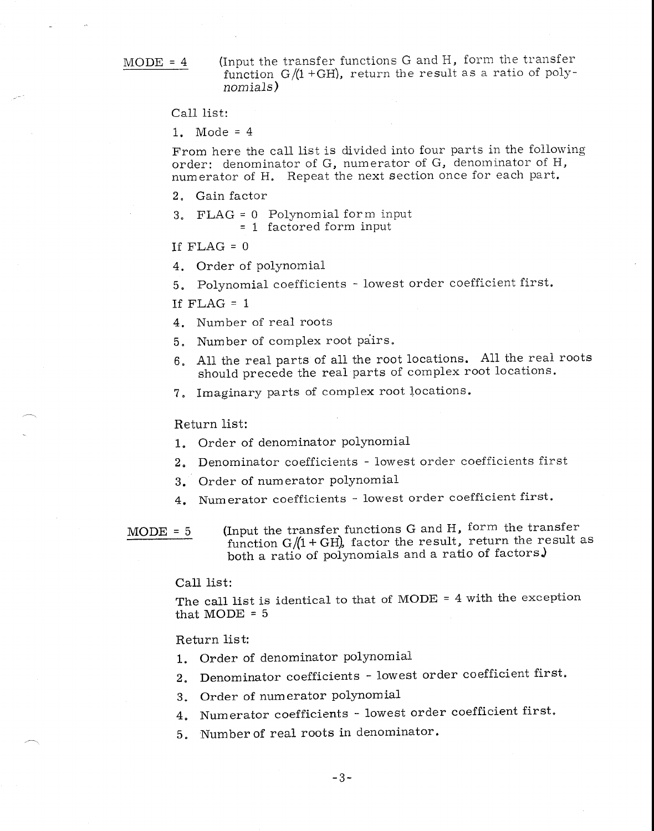MODE =  $4$  (Input the transfer functions G and H, form the transfer function G/(1 +GH), return the result as a ratio of *polynomials)* 

Call list:

1. Mode = 4

From here the call list is divided into four parts in the following order: denominator of G, numerator of G, denominator of H, numerator of H. Repeat the next section once for each part.

2. Gain factor

3, FLAG = 0 Polynomial form input = 1 factored form input

If  $FLAG = 0$ 

4. Order of polynomial

5. Polynomial coefficients - lowest order coefficient first.

If  $FLAG = 1$ 

4. Number of real roots

5. Number of complex root pairs.

- 6. All the real parts of all the root locations. All the real roots should precede the real parts of complex root locations.
- 7. Imaginary parts of complex root locations.

Return list:

- 1. Order of denominator polynomial
- 2. Denominator coefficients lowest order coefficients first
- 3. Order of numerator polynomial
- 4. Numerator coefficients lowest order coefficient first.

MODE = 5 (Input the transfer functions G and H, form the transfer function  $G/(1+GH)$ , factor the result, return the result as both a ratio of polynomials and a ratio of factors.)

Call list:

The call list is identical to that of MODE = 4 with the exception that  $MODE = 5$ 

## Return list:

- 1. Order of denominator polynomial
- 2. Denominator coefficients lowest order coefficient first.
- 3. Order of numerator polynomial
- 4. Numerator coefficients lowest order coefficient first.
- 5. Number of real roots in denominator.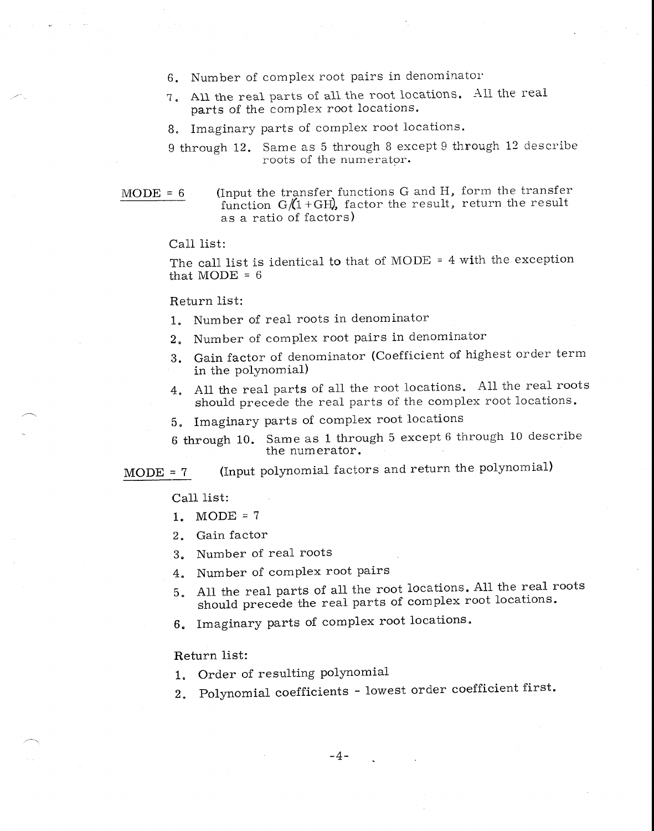- 6. Number of complex root pairs in denominator
- 7. All the real parts of all the root locations. All the real parts of the complex root locations.
- 8. Imaginary parts of complex root locations.
- 9 through 12. Same as 5 through 8 except 9 through 12 describe roots of the numerator.
- MODE =  $6$  (Input the transfer functions G and H, form the transfer function  $G/(1+GH)$ , factor the result, return the result as a ratio of factors)

Call list:

The call list is identical to that of MODE = 4 with the exception that  $MODE = 6$ 

Return list:

- 1. Number of real roots in denominator
- 2. Number of complex root pairs in denominator
- 3. Gain factor of denominator (Coefficient of highest order term in the polynomial)
- 4. All the real parts of all the root locations. All the real roots should precede the real parts of the complex root locations.
- 5. Imaginary parts of complex root locations
- 6 through 10. Same as 1 through 5 except 6 through 10 describe the numerator.

 $MODE = 7$  (Input polynomial factors and return the polynomial)

Call list:

- 1. MODE =  $7$
- 2. Gain factor
- 3. Number of real roots
- 4. Number of complex root pairs
- 5. All the real parts of all the root locations. All the real roots should precede the real parts of complex root locations.
- 6. Imaginary parts of complex root locations.

Return list:

- 1. Order of resulting polynomial
- 2. Polynomial coefficients lowest order coefficient first.